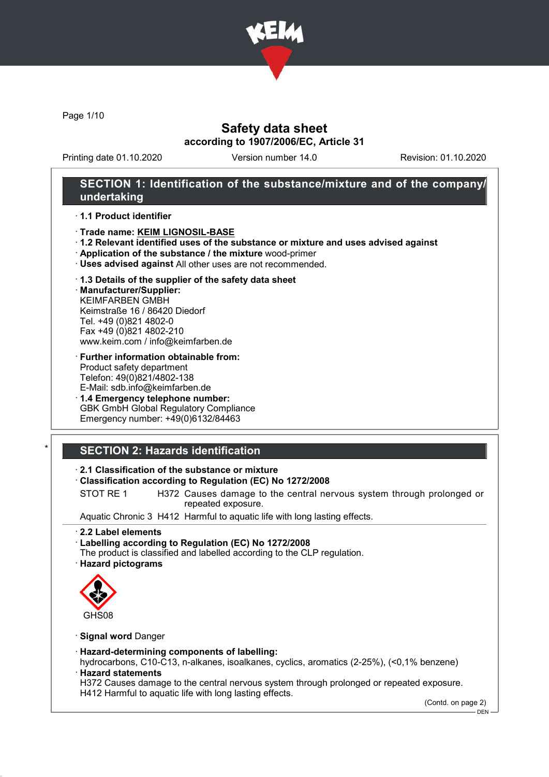

Page 1/10

## Safety data sheet according to 1907/2006/EC, Article 31

Printing date 01.10.2020 Version number 14.0 Revision: 01.10.2020

## SECTION 1: Identification of the substance/mixture and of the company/ undertaking

· 1.1 Product identifier

- · Trade name: KEIM LIGNOSIL-BASE
- · 1.2 Relevant identified uses of the substance or mixture and uses advised against
- · Application of the substance / the mixture wood-primer
- · Uses advised against All other uses are not recommended.

#### · 1.3 Details of the supplier of the safety data sheet

· Manufacturer/Supplier: KEIMFARBEN GMBH Keimstraße 16 / 86420 Diedorf Tel. +49 (0)821 4802-0 Fax +49 (0)821 4802-210 www.keim.com / info@keimfarben.de

- · Further information obtainable from: Product safety department Telefon: 49(0)821/4802-138 E-Mail: sdb.info@keimfarben.de
- · 1.4 Emergency telephone number: GBK GmbH Global Regulatory Compliance Emergency number: +49(0)6132/84463

## **SECTION 2: Hazards identification**

### · 2.1 Classification of the substance or mixture

#### · Classification according to Regulation (EC) No 1272/2008

STOT RE 1 H372 Causes damage to the central nervous system through prolonged or repeated exposure.

Aquatic Chronic 3 H412 Harmful to aquatic life with long lasting effects.

· 2.2 Label elements

- · Labelling according to Regulation (EC) No 1272/2008
- The product is classified and labelled according to the CLP regulation.
- · Hazard pictograms



### · Signal word Danger

#### · Hazard-determining components of labelling:

hydrocarbons, C10-C13, n-alkanes, isoalkanes, cyclics, aromatics (2-25%), (<0,1% benzene) · Hazard statements

H372 Causes damage to the central nervous system through prolonged or repeated exposure. H412 Harmful to aquatic life with long lasting effects.

(Contd. on page 2)

DEN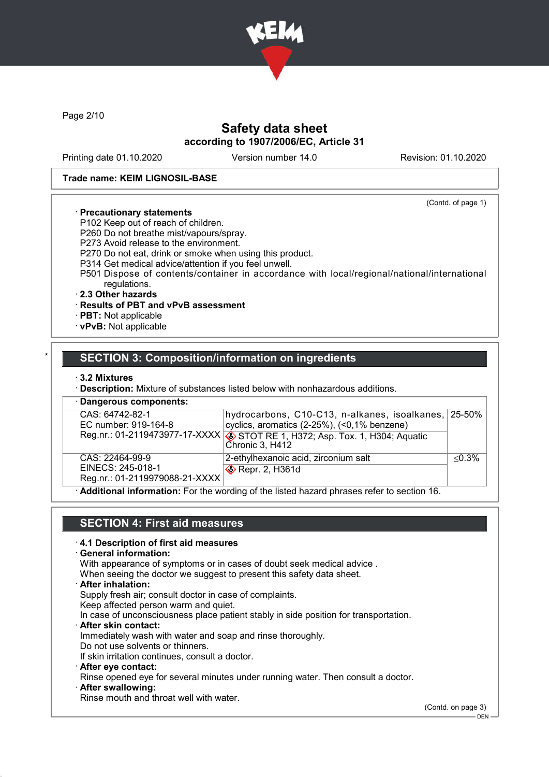

Page 2/10

## Safety data sheet according to 1907/2006/EC, Article 31

Printing date 01.10.2020 Version number 14.0 Revision: 01.10.2020

(Contd. of page 1)

#### Trade name: KEIM LIGNOSIL-BASE

### · Precautionary statements

- P102 Keep out of reach of children.
- P260 Do not breathe mist/vapours/spray.
- P273 Avoid release to the environment.
- P270 Do not eat, drink or smoke when using this product.
- P314 Get medical advice/attention if you feel unwell.
- P501 Dispose of contents/container in accordance with local/regional/national/international regulations.
- · 2.3 Other hazards

### · Results of PBT and vPvB assessment

- · PBT: Not applicable
- · vPvB: Not applicable

## SECTION 3: Composition/information on ingredients

#### · 3.2 Mixtures

· Description: Mixture of substances listed below with nonhazardous additions.

| · Dangerous components:                 |                                                                                                             |           |  |  |
|-----------------------------------------|-------------------------------------------------------------------------------------------------------------|-----------|--|--|
| CAS: 64742-82-1<br>EC number: 919-164-8 | hydrocarbons, C10-C13, n-alkanes, isoalkanes, 25-50%<br>cyclics, aromatics (2-25%), (<0,1% benzene)         |           |  |  |
|                                         | Reg.nr.: 01-2119473977-17-XXXX $\circledast$ STOT RE 1, H372; Asp. Tox. 1, H304; Aquatic<br>Chronic 3, H412 |           |  |  |
| CAS: 22464-99-9<br>EINECS: 245-018-1    | 2-ethylhexanoic acid, zirconium salt<br>Repr. 2, H361d                                                      | $< 0.3\%$ |  |  |
| Reg.nr.: 01-2119979088-21-XXXX          |                                                                                                             |           |  |  |

· Additional information: For the wording of the listed hazard phrases refer to section 16.

## SECTION 4: First aid measures

### · 4.1 Description of first aid measures

General information:

With appearance of symptoms or in cases of doubt seek medical advice .

When seeing the doctor we suggest to present this safety data sheet.

· After inhalation:

Supply fresh air; consult doctor in case of complaints.

Keep affected person warm and quiet.

In case of unconsciousness place patient stably in side position for transportation.

· After skin contact:

Immediately wash with water and soap and rinse thoroughly.

Do not use solvents or thinners. If skin irritation continues, consult a doctor.

- · After eye contact:
- 

Rinse opened eye for several minutes under running water. Then consult a doctor.

After swallowing:

Rinse mouth and throat well with water.

(Contd. on page 3)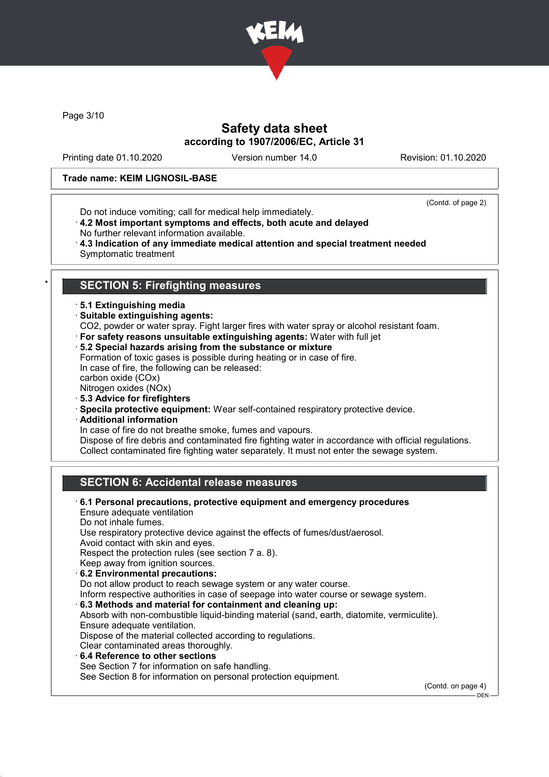

Page 3/10

## Safety data sheet according to 1907/2006/EC, Article 31

Printing date 01.10.2020 Version number 14.0 Revision: 01.10.2020

### Trade name: KEIM LIGNOSIL-BASE

Do not induce vomiting; call for medical help immediately.

(Contd. of page 2)

- · 4.2 Most important symptoms and effects, both acute and delayed
- No further relevant information available.
- · 4.3 Indication of any immediate medical attention and special treatment needed Symptomatic treatment

## **SECTION 5: Firefighting measures**

- · 5.1 Extinguishing media
- · Suitable extinguishing agents:
- CO2, powder or water spray. Fight larger fires with water spray or alcohol resistant foam.
- · For safety reasons unsuitable extinguishing agents: Water with full jet
- · 5.2 Special hazards arising from the substance or mixture
- Formation of toxic gases is possible during heating or in case of fire. In case of fire, the following can be released:
- carbon oxide (COx)
- Nitrogen oxides (NOx)
- · 5.3 Advice for firefighters
- · Specila protective equipment: Wear self-contained respiratory protective device.
- · Additional information
- In case of fire do not breathe smoke, fumes and vapours.

Dispose of fire debris and contaminated fire fighting water in accordance with official regulations. Collect contaminated fire fighting water separately. It must not enter the sewage system.

## SECTION 6: Accidental release measures

· 6.1 Personal precautions, protective equipment and emergency procedures Ensure adequate ventilation Do not inhale fumes. Use respiratory protective device against the effects of fumes/dust/aerosol. Avoid contact with skin and eyes. Respect the protection rules (see section 7 a. 8). Keep away from ignition sources. · 6.2 Environmental precautions: Do not allow product to reach sewage system or any water course. Inform respective authorities in case of seepage into water course or sewage system. · 6.3 Methods and material for containment and cleaning up: Absorb with non-combustible liquid-binding material (sand, earth, diatomite, vermiculite). Ensure adequate ventilation. Dispose of the material collected according to regulations. Clear contaminated areas thoroughly. 6.4 Reference to other sections See Section 7 for information on safe handling. See Section 8 for information on personal protection equipment.

(Contd. on page 4)

 $-$  DEN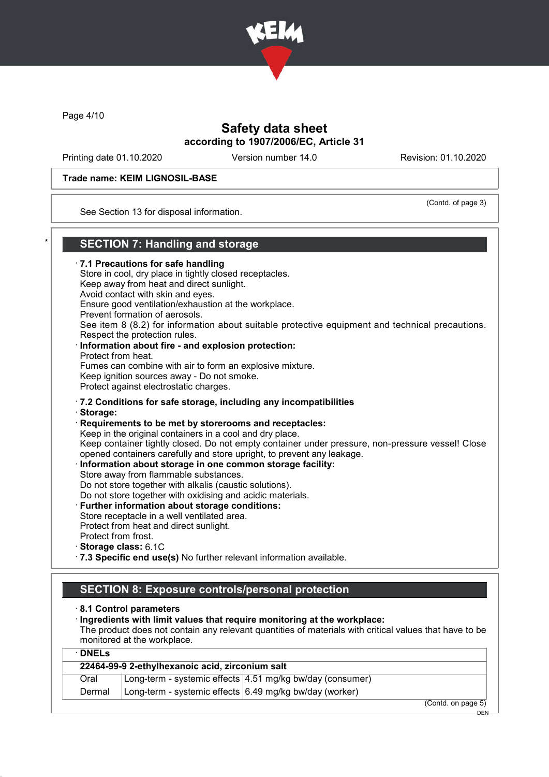

Page 4/10

## Safety data sheet according to 1907/2006/EC, Article 31

Printing date 01.10.2020 Version number 14.0 Revision: 01.10.2020

(Contd. of page 3)

### Trade name: KEIM LIGNOSIL-BASE

See Section 13 for disposal information.

## **SECTION 7: Handling and storage**

· 7.1 Precautions for safe handling Store in cool, dry place in tightly closed receptacles. Keep away from heat and direct sunlight. Avoid contact with skin and eyes. Ensure good ventilation/exhaustion at the workplace. Prevent formation of aerosols. See item 8 (8.2) for information about suitable protective equipment and technical precautions. Respect the protection rules. Information about fire - and explosion protection: Protect from heat. Fumes can combine with air to form an explosive mixture. Keep ignition sources away - Do not smoke. Protect against electrostatic charges. · 7.2 Conditions for safe storage, including any incompatibilities · Storage: · Requirements to be met by storerooms and receptacles: Keep in the original containers in a cool and dry place. Keep container tightly closed. Do not empty container under pressure, non-pressure vessel! Close opened containers carefully and store upright, to prevent any leakage. Information about storage in one common storage facility: Store away from flammable substances. Do not store together with alkalis (caustic solutions). Do not store together with oxidising and acidic materials. Further information about storage conditions: Store receptacle in a well ventilated area. Protect from heat and direct sunlight. Protect from frost. · Storage class: 6.1C · 7.3 Specific end use(s) No further relevant information available. SECTION 8: Exposure controls/personal protection · 8.1 Control parameters

· Ingredients with limit values that require monitoring at the workplace:

The product does not contain any relevant quantities of materials with critical values that have to be monitored at the workplace.  $\overline{N}$ 

| 22464-99-9 2-ethylhexanoic acid, zirconium salt |                                                         |                                                           |  |  |
|-------------------------------------------------|---------------------------------------------------------|-----------------------------------------------------------|--|--|
| Oral                                            |                                                         | Long-term - systemic effects 4.51 mg/kg bw/day (consumer) |  |  |
| Dermal                                          | Long-term - systemic effects 6.49 mg/kg bw/day (worker) |                                                           |  |  |

DEN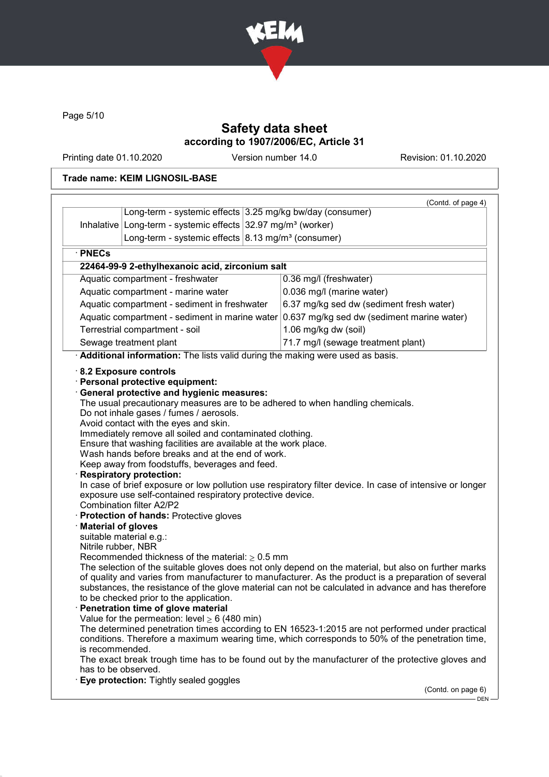

Page 5/10

## Safety data sheet according to 1907/2006/EC, Article 31

Printing date 01.10.2020 Version number 14.0 Revision: 01.10.2020

### Trade name: KEIM LIGNOSIL-BASE

|                                                                                                                                                                                                                                                                                                                                                                                                                                              |                                                                                                                                                                                                                               |                           |                                                                                                                                                                                                    | (Contd. of page 4) |  |
|----------------------------------------------------------------------------------------------------------------------------------------------------------------------------------------------------------------------------------------------------------------------------------------------------------------------------------------------------------------------------------------------------------------------------------------------|-------------------------------------------------------------------------------------------------------------------------------------------------------------------------------------------------------------------------------|---------------------------|----------------------------------------------------------------------------------------------------------------------------------------------------------------------------------------------------|--------------------|--|
|                                                                                                                                                                                                                                                                                                                                                                                                                                              | Long-term - systemic effects 3.25 mg/kg bw/day (consumer)                                                                                                                                                                     |                           |                                                                                                                                                                                                    |                    |  |
|                                                                                                                                                                                                                                                                                                                                                                                                                                              | Inhalative   Long-term - systemic effects   32.97 mg/m <sup>3</sup> (worker)                                                                                                                                                  |                           |                                                                                                                                                                                                    |                    |  |
|                                                                                                                                                                                                                                                                                                                                                                                                                                              | Long-term - systemic effects $ 8.13 \text{ mg/m}^3$ (consumer)                                                                                                                                                                |                           |                                                                                                                                                                                                    |                    |  |
| · PNECs                                                                                                                                                                                                                                                                                                                                                                                                                                      |                                                                                                                                                                                                                               |                           |                                                                                                                                                                                                    |                    |  |
|                                                                                                                                                                                                                                                                                                                                                                                                                                              | 22464-99-9 2-ethylhexanoic acid, zirconium salt                                                                                                                                                                               |                           |                                                                                                                                                                                                    |                    |  |
| Aquatic compartment - freshwater                                                                                                                                                                                                                                                                                                                                                                                                             |                                                                                                                                                                                                                               | 0.36 mg/l (freshwater)    |                                                                                                                                                                                                    |                    |  |
| Aquatic compartment - marine water                                                                                                                                                                                                                                                                                                                                                                                                           |                                                                                                                                                                                                                               | 0.036 mg/l (marine water) |                                                                                                                                                                                                    |                    |  |
|                                                                                                                                                                                                                                                                                                                                                                                                                                              | Aquatic compartment - sediment in freshwater                                                                                                                                                                                  |                           | 6.37 mg/kg sed dw (sediment fresh water)                                                                                                                                                           |                    |  |
|                                                                                                                                                                                                                                                                                                                                                                                                                                              | Aquatic compartment - sediment in marine water                                                                                                                                                                                |                           | 0.637 mg/kg sed dw (sediment marine water)                                                                                                                                                         |                    |  |
|                                                                                                                                                                                                                                                                                                                                                                                                                                              | Terrestrial compartment - soil                                                                                                                                                                                                |                           | 1.06 mg/kg dw (soil)                                                                                                                                                                               |                    |  |
|                                                                                                                                                                                                                                                                                                                                                                                                                                              | Sewage treatment plant                                                                                                                                                                                                        |                           | 71.7 mg/l (sewage treatment plant)                                                                                                                                                                 |                    |  |
|                                                                                                                                                                                                                                                                                                                                                                                                                                              | · Additional information: The lists valid during the making were used as basis.                                                                                                                                               |                           |                                                                                                                                                                                                    |                    |  |
| <b>Material of gloves</b>                                                                                                                                                                                                                                                                                                                                                                                                                    | Keep away from foodstuffs, beverages and feed.<br><b>Respiratory protection:</b><br>exposure use self-contained respiratory protective device.<br><b>Combination filter A2/P2</b><br>· Protection of hands: Protective gloves |                           | In case of brief exposure or low pollution use respiratory filter device. In case of intensive or longer                                                                                           |                    |  |
|                                                                                                                                                                                                                                                                                                                                                                                                                                              | suitable material e.g.:                                                                                                                                                                                                       |                           |                                                                                                                                                                                                    |                    |  |
| Nitrile rubber, NBR<br>Recommended thickness of the material: $\geq 0.5$ mm<br>The selection of the suitable gloves does not only depend on the material, but also on further marks<br>of quality and varies from manufacturer to manufacturer. As the product is a preparation of several<br>substances, the resistance of the glove material can not be calculated in advance and has therefore<br>to be checked prior to the application. |                                                                                                                                                                                                                               |                           |                                                                                                                                                                                                    |                    |  |
|                                                                                                                                                                                                                                                                                                                                                                                                                                              | Penetration time of glove material                                                                                                                                                                                            |                           |                                                                                                                                                                                                    |                    |  |
|                                                                                                                                                                                                                                                                                                                                                                                                                                              | Value for the permeation: level $\geq 6$ (480 min)                                                                                                                                                                            |                           | The determined penetration times according to EN 16523-1:2015 are not performed under practical<br>conditions. Therefore a maximum wearing time, which corresponds to 50% of the penetration time, |                    |  |
| is recommended.<br>The exact break trough time has to be found out by the manufacturer of the protective gloves and<br>has to be observed.                                                                                                                                                                                                                                                                                                   |                                                                                                                                                                                                                               |                           |                                                                                                                                                                                                    |                    |  |
|                                                                                                                                                                                                                                                                                                                                                                                                                                              |                                                                                                                                                                                                                               |                           |                                                                                                                                                                                                    |                    |  |
|                                                                                                                                                                                                                                                                                                                                                                                                                                              | Eye protection: Tightly sealed goggles                                                                                                                                                                                        |                           |                                                                                                                                                                                                    |                    |  |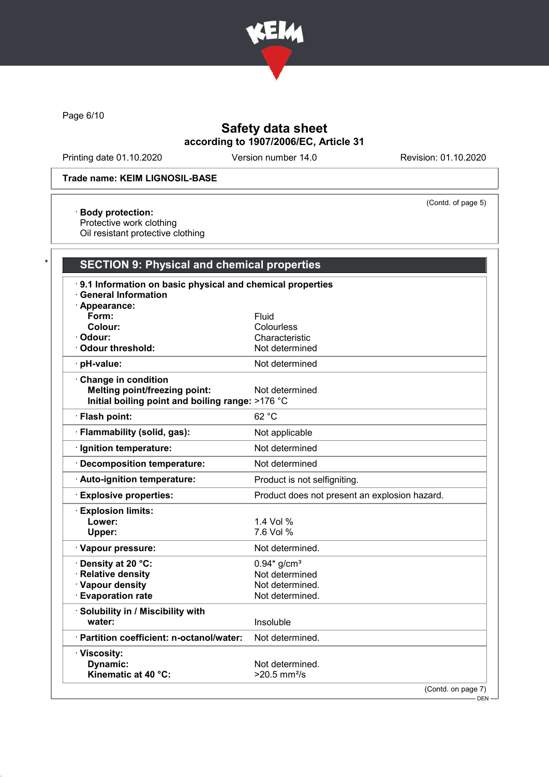

Page 6/10

## Safety data sheet according to 1907/2006/EC, Article 31

Printing date 01.10.2020 Version number 14.0 Revision: 01.10.2020

(Contd. of page 5)

### Trade name: KEIM LIGNOSIL-BASE

· Body protection:

Protective work clothing

Oil resistant protective clothing

# **SECTION 9: Physical and chemical properties**

| $\cdot$ 9.1 Information on basic physical and chemical properties |                                               |  |  |  |
|-------------------------------------------------------------------|-----------------------------------------------|--|--|--|
| <b>General Information</b>                                        |                                               |  |  |  |
| · Appearance:<br>Form:                                            | Fluid                                         |  |  |  |
| Colour:                                                           | Colourless                                    |  |  |  |
| · Odour:                                                          | Characteristic                                |  |  |  |
| Odour threshold:                                                  | Not determined                                |  |  |  |
| · pH-value:                                                       | Not determined                                |  |  |  |
| Change in condition                                               |                                               |  |  |  |
| <b>Melting point/freezing point:</b>                              | Not determined                                |  |  |  |
| Initial boiling point and boiling range: >176 °C                  |                                               |  |  |  |
| · Flash point:                                                    | 62 °C                                         |  |  |  |
| · Flammability (solid, gas):                                      | Not applicable                                |  |  |  |
| · Ignition temperature:                                           | Not determined                                |  |  |  |
| · Decomposition temperature:                                      | Not determined                                |  |  |  |
| · Auto-ignition temperature:                                      | Product is not selfigniting.                  |  |  |  |
| <b>Explosive properties:</b>                                      | Product does not present an explosion hazard. |  |  |  |
| <b>Explosion limits:</b>                                          |                                               |  |  |  |
| Lower:                                                            | 1.4 Vol %                                     |  |  |  |
| Upper:                                                            | 7.6 Vol %                                     |  |  |  |
| · Vapour pressure:                                                | Not determined.                               |  |  |  |
| Density at 20 °C:                                                 | $0.94*$ g/cm <sup>3</sup>                     |  |  |  |
| · Relative density                                                | Not determined                                |  |  |  |
| · Vapour density                                                  | Not determined.                               |  |  |  |
| <b>Evaporation rate</b>                                           | Not determined.                               |  |  |  |
| · Solubility in / Miscibility with                                |                                               |  |  |  |
| water:                                                            | Insoluble                                     |  |  |  |
| · Partition coefficient: n-octanol/water:                         | Not determined.                               |  |  |  |
| · Viscosity:                                                      |                                               |  |  |  |
| Dynamic:                                                          | Not determined.                               |  |  |  |
| Kinematic at 40 °C:                                               | $>20.5$ mm <sup>2</sup> /s                    |  |  |  |
|                                                                   | (Contdonnone 7)                               |  |  |  |

(Contd. on page 7)

 $-$  DEN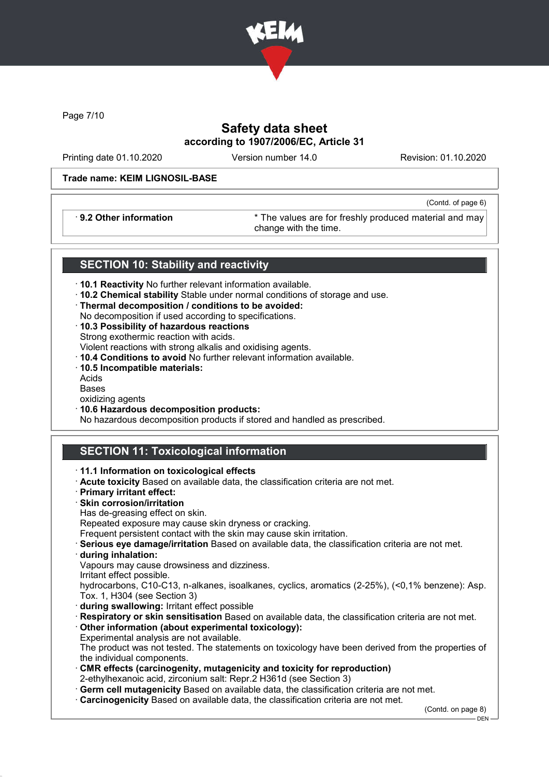

Page 7/10

## Safety data sheet according to 1907/2006/EC, Article 31

Printing date 01.10.2020 Version number 14.0 Revision: 01.10.2020

(Contd. of page 6)

### Trade name: KEIM LIGNOSIL-BASE

· 9.2 Other information \* The values are for freshly produced material and may change with the time.

## SECTION 10: Stability and reactivity

- · 10.1 Reactivity No further relevant information available.
- · 10.2 Chemical stability Stable under normal conditions of storage and use.
- · Thermal decomposition / conditions to be avoided:
- No decomposition if used according to specifications.
- · 10.3 Possibility of hazardous reactions Strong exothermic reaction with acids. Violent reactions with strong alkalis and oxidising agents.
- · 10.4 Conditions to avoid No further relevant information available.
- · 10.5 Incompatible materials:
- Acids
- Bases
- oxidizing agents
- · 10.6 Hazardous decomposition products:

No hazardous decomposition products if stored and handled as prescribed.

## **SECTION 11: Toxicological information**

· 11.1 Information on toxicological effects · Acute toxicity Based on available data, the classification criteria are not met. · Primary irritant effect: · Skin corrosion/irritation Has de-greasing effect on skin. Repeated exposure may cause skin dryness or cracking. Frequent persistent contact with the skin may cause skin irritation. · Serious eye damage/irritation Based on available data, the classification criteria are not met. · during inhalation: Vapours may cause drowsiness and dizziness. Irritant effect possible. hydrocarbons, C10-C13, n-alkanes, isoalkanes, cyclics, aromatics (2-25%), (<0,1% benzene): Asp. Tox. 1, H304 (see Section 3) · during swallowing: Irritant effect possible · Respiratory or skin sensitisation Based on available data, the classification criteria are not met. · Other information (about experimental toxicology): Experimental analysis are not available. The product was not tested. The statements on toxicology have been derived from the properties of the individual components. · CMR effects (carcinogenity, mutagenicity and toxicity for reproduction) 2-ethylhexanoic acid, zirconium salt: Repr.2 H361d (see Section 3) · Germ cell mutagenicity Based on available data, the classification criteria are not met. · Carcinogenicity Based on available data, the classification criteria are not met. (Contd. on page 8)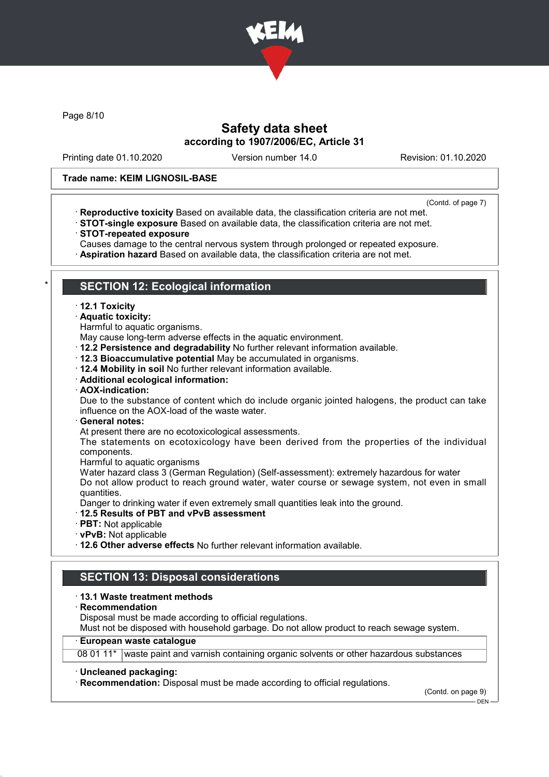

Page 8/10

## Safety data sheet according to 1907/2006/EC, Article 31

Printing date 01.10.2020 Version number 14.0 Revision: 01.10.2020

### Trade name: KEIM LIGNOSIL-BASE

(Contd. of page 7)

- · Reproductive toxicity Based on available data, the classification criteria are not met.
- · STOT-single exposure Based on available data, the classification criteria are not met.
- · STOT-repeated exposure
- Causes damage to the central nervous system through prolonged or repeated exposure.
- · Aspiration hazard Based on available data, the classification criteria are not met.

### **SECTION 12: Ecological information**

#### · 12.1 Toxicity

- · Aquatic toxicity:
- Harmful to aquatic organisms.
- May cause long-term adverse effects in the aquatic environment.
- · 12.2 Persistence and degradability No further relevant information available.
- · 12.3 Bioaccumulative potential May be accumulated in organisms.
- · 12.4 Mobility in soil No further relevant information available.
- · Additional ecological information:
- · AOX-indication:

Due to the substance of content which do include organic jointed halogens, the product can take influence on the AOX-load of the waste water.

· General notes:

At present there are no ecotoxicological assessments.

The statements on ecotoxicology have been derived from the properties of the individual components.

Harmful to aquatic organisms

Water hazard class 3 (German Regulation) (Self-assessment): extremely hazardous for water Do not allow product to reach ground water, water course or sewage system, not even in small quantities.

Danger to drinking water if even extremely small quantities leak into the ground.

- · 12.5 Results of PBT and vPvB assessment
- · PBT: Not applicable
- · vPvB: Not applicable
- · 12.6 Other adverse effects No further relevant information available.

## SECTION 13: Disposal considerations

#### · 13.1 Waste treatment methods

· Recommendation

Disposal must be made according to official regulations.

Must not be disposed with household garbage. Do not allow product to reach sewage system.

### · European waste catalogue

08 01 11\* waste paint and varnish containing organic solvents or other hazardous substances

#### · Uncleaned packaging:

· Recommendation: Disposal must be made according to official regulations.

(Contd. on page 9)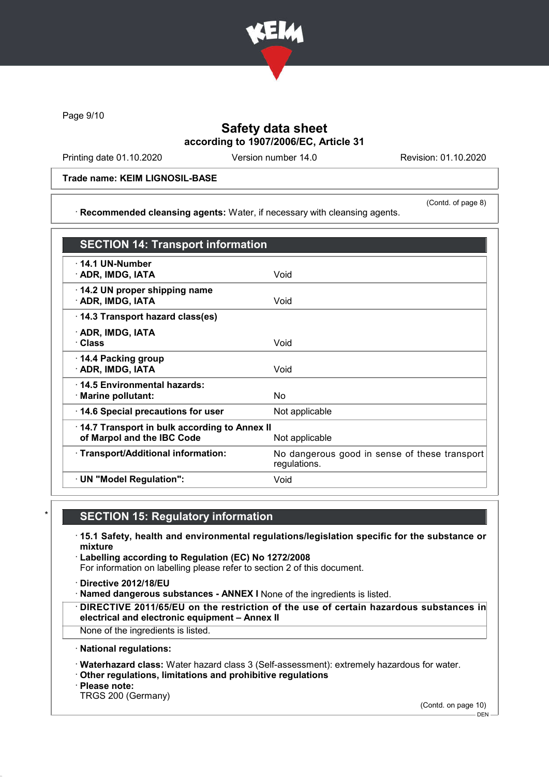

Page 9/10

## Safety data sheet according to 1907/2006/EC, Article 31

Printing date 01.10.2020 Version number 14.0 Revision: 01.10.2020

(Contd. of page 8)

### Trade name: KEIM LIGNOSIL-BASE

· Recommended cleansing agents: Water, if necessary with cleansing agents.

SECTION 14: Transport information · 14.1 UN-Number · ADR, IMDG, IATA Void · 14.2 UN proper shipping name **ADR, IMDG, IATA** Void · 14.3 Transport hazard class(es) · ADR, IMDG, IATA · Class Void · 14.4 Packing group · ADR, IMDG, IATA Void · 14.5 Environmental hazards: · Marine pollutant: No · 14.6 Special precautions for user Mot applicable · 14.7 Transport in bulk according to Annex II of Marpol and the IBC Code Not applicable · Transport/Additional information: No dangerous good in sense of these transport regulations. · UN "Model Regulation": Void

## **SECTION 15: Regulatory information**

- · 15.1 Safety, health and environmental regulations/legislation specific for the substance or mixture
- · Labelling according to Regulation (EC) No 1272/2008 For information on labelling please refer to section 2 of this document.
- · Directive 2012/18/EU
- · Named dangerous substances ANNEX I None of the ingredients is listed.
- · DIRECTIVE 2011/65/EU on the restriction of the use of certain hazardous substances in electrical and electronic equipment – Annex II
- None of the ingredients is listed.
- · National regulations:
- · Waterhazard class: Water hazard class 3 (Self-assessment): extremely hazardous for water.
- · Other regulations, limitations and prohibitive regulations
- · Please note:
- TRGS 200 (Germany)

(Contd. on page 10)